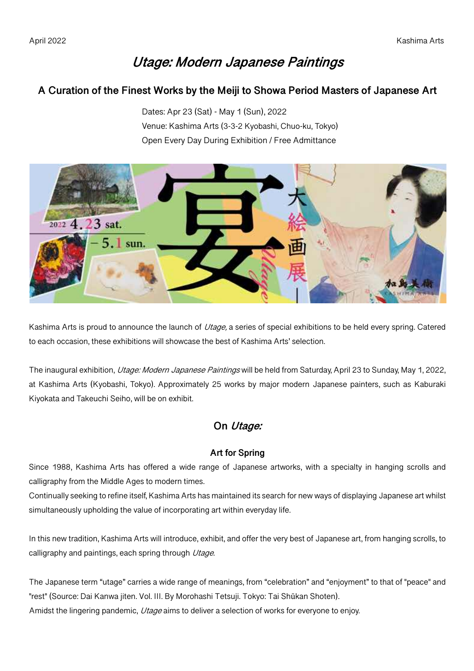# **Utage: Modern Japanese Paintings**

# **A Curation of the Finest Works by the Meiji to Showa Period Masters of Japanese Art**

Dates: Apr 23 (Sat) - May 1 (Sun), 2022 Venue: Kashima Arts (3-3-2 Kyobashi, Chuo-ku, Tokyo) Open Every Day During Exhibition / Free Admittance



Kashima Arts is proud to announce the launch of Utage, a series of special exhibitions to be held every spring. Catered to each occasion, these exhibitions will showcase the best of Kashima Arts' selection.

The inaugural exhibition, *Utage: Modern Japanese Paintings* will be held from Saturday, April 23 to Sunday, May 1, 2022, at Kashima Arts (Kyobashi, Tokyo). Approximately 25 works by major modern Japanese painters, such as Kaburaki Kiyokata and Takeuchi Seiho, will be on exhibit.

# **On Utage:**

## **Art for Spring**

Since 1988, Kashima Arts has offered a wide range of Japanese artworks, with a specialty in hanging scrolls and calligraphy from the Middle Ages to modern times.

Continually seeking to refine itself, Kashima Arts has maintained its search for new ways of displaying Japanese art whilst simultaneously upholding the value of incorporating art within everyday life.

In this new tradition, Kashima Arts will introduce, exhibit, and offer the very best of Japanese art, from hanging scrolls, to calligraphy and paintings, each spring through Utage.

The Japanese term "utage" carries a wide range of meanings, from "celebration" and "enjoyment" to that of "peace" and "rest" (Source: Dai Kanwa jiten. Vol. III. By Morohashi Tetsuji. Tokyo: Tai Shūkan Shoten). Amidst the lingering pandemic, Utage aims to deliver a selection of works for everyone to enjoy.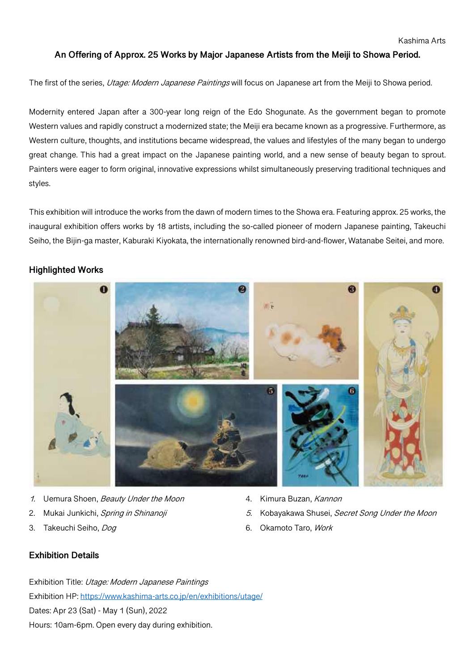#### **An Offering of Approx. 25 Works by Major Japanese Artists from the Meiji to Showa Period.**

The first of the series, Utage: Modern Japanese Paintings will focus on Japanese art from the Meiji to Showa period.

Modernity entered Japan after a 300-year long reign of the Edo Shogunate. As the government began to promote Western values and rapidly construct a modernized state; the Meiji era became known as a progressive. Furthermore, as Western culture, thoughts, and institutions became widespread, the values and lifestyles of the many began to undergo great change. This had a great impact on the Japanese painting world, and a new sense of beauty began to sprout. Painters were eager to form original, innovative expressions whilst simultaneously preserving traditional techniques and styles.

This exhibition will introduce the works from the dawn of modern times to the Showa era. Featuring approx. 25 works, the inaugural exhibition offers works by 18 artists, including the so-called pioneer of modern Japanese painting, Takeuchi Seiho, the Bijin-ga master, Kaburaki Kiyokata, the internationally renowned bird-and-flower, Watanabe Seitei, and more.

## **Highlighted Works**



1. Uemura Shoen, Beauty Under the Moon

- 2. Mukai Junkichi, Spring in Shinanoji
- 3. Takeuchi Seiho, Dog
- 4. Kimura Buzan, Kannon
- 5. Kobayakawa Shusei, Secret Song Under the Moon
- 6. Okamoto Taro, Work

## **Exhibition Details**

Exhibition Title: Utage: Modern Japanese Paintings Exhibition HP: https://www.kashima-arts.co.jp/en/exhibitions/utage/ Dates: Apr 23 (Sat) - May 1 (Sun), 2022 Hours: 10am-6pm. Open every day during exhibition.